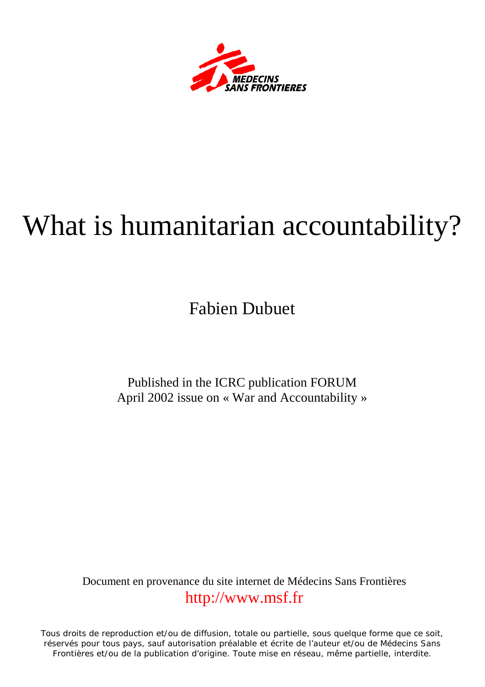

# What is humanitarian accountability?

Fabien Dubuet

Published in the ICRC publication FORUM April 2002 issue on « War and Accountability »

Document en provenance du site internet de Médecins Sans Frontières [http://www.msf.fr](http://www.msf.fr/)

Tous droits de reproduction et/ou de diffusion, totale ou partielle, sous quelque forme que ce soit, réservés pour tous pays, sauf autorisation préalable et écrite de l'auteur et/ou de Médecins Sans Frontières et/ou de la publication d'origine. Toute mise en réseau, même partielle, interdite.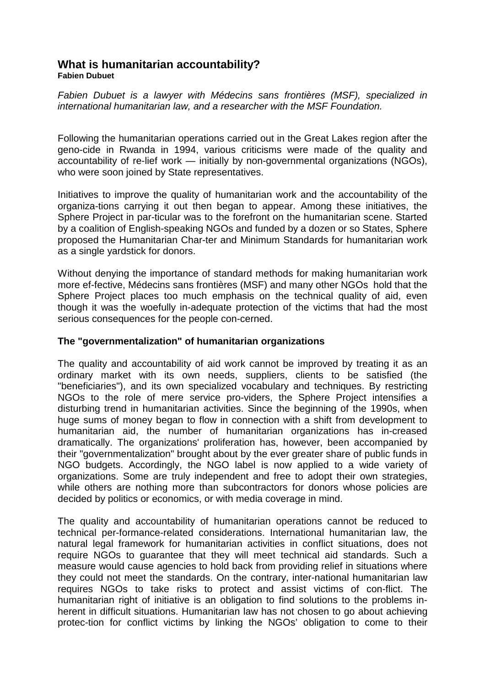## **What is humanitarian accountability?**

**Fabien Dubuet** 

*Fabien Dubuet is a lawyer with Médecins sans frontières (MSF), specialized in international humanitarian law, and a researcher with the MSF Foundation.* 

Following the humanitarian operations carried out in the Great Lakes region after the geno-cide in Rwanda in 1994, various criticisms were made of the quality and accountability of re-lief work — initially by non-governmental organizations (NGOs), who were soon joined by State representatives.

Initiatives to improve the quality of humanitarian work and the accountability of the organiza-tions carrying it out then began to appear. Among these initiatives, the Sphere Project in par-ticular was to the forefront on the humanitarian scene. Started by a coalition of English-speaking NGOs and funded by a dozen or so States, Sphere proposed the Humanitarian Char-ter and Minimum Standards for humanitarian work as a single yardstick for donors.

Without denying the importance of standard methods for making humanitarian work more ef-fective, Médecins sans frontières (MSF) and many other NGOs hold that the Sphere Project places too much emphasis on the technical quality of aid, even though it was the woefully in-adequate protection of the victims that had the most serious consequences for the people con-cerned.

#### **The "governmentalization" of humanitarian organizations**

The quality and accountability of aid work cannot be improved by treating it as an ordinary market with its own needs, suppliers, clients to be satisfied (the "beneficiaries"), and its own specialized vocabulary and techniques. By restricting NGOs to the role of mere service pro-viders, the Sphere Project intensifies a disturbing trend in humanitarian activities. Since the beginning of the 1990s, when huge sums of money began to flow in connection with a shift from development to humanitarian aid, the number of humanitarian organizations has in-creased dramatically. The organizations' proliferation has, however, been accompanied by their "governmentalization" brought about by the ever greater share of public funds in NGO budgets. Accordingly, the NGO label is now applied to a wide variety of organizations. Some are truly independent and free to adopt their own strategies, while others are nothing more than subcontractors for donors whose policies are decided by politics or economics, or with media coverage in mind.

The quality and accountability of humanitarian operations cannot be reduced to technical per-formance-related considerations. International humanitarian law, the natural legal framework for humanitarian activities in conflict situations, does not require NGOs to guarantee that they will meet technical aid standards. Such a measure would cause agencies to hold back from providing relief in situations where they could not meet the standards. On the contrary, inter-national humanitarian law requires NGOs to take risks to protect and assist victims of con-flict. The humanitarian right of initiative is an obligation to find solutions to the problems inherent in difficult situations. Humanitarian law has not chosen to go about achieving protec-tion for conflict victims by linking the NGOs' obligation to come to their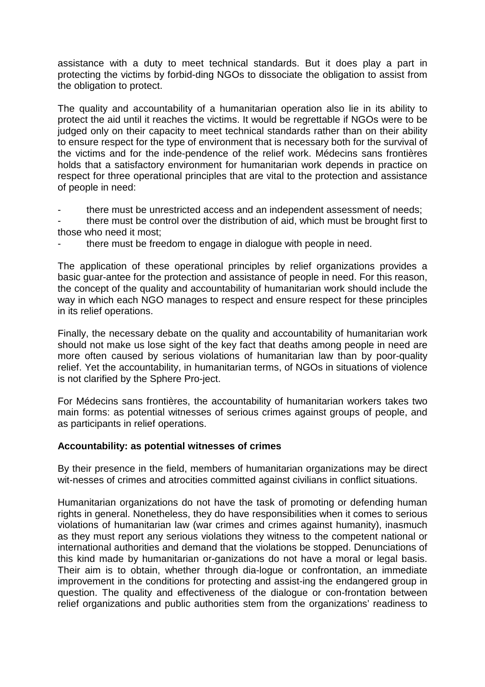assistance with a duty to meet technical standards. But it does play a part in protecting the victims by forbid-ding NGOs to dissociate the obligation to assist from the obligation to protect.

The quality and accountability of a humanitarian operation also lie in its ability to protect the aid until it reaches the victims. It would be regrettable if NGOs were to be judged only on their capacity to meet technical standards rather than on their ability to ensure respect for the type of environment that is necessary both for the survival of the victims and for the inde-pendence of the relief work. Médecins sans frontières holds that a satisfactory environment for humanitarian work depends in practice on respect for three operational principles that are vital to the protection and assistance of people in need:

there must be unrestricted access and an independent assessment of needs;

there must be control over the distribution of aid, which must be brought first to those who need it most;

there must be freedom to engage in dialogue with people in need.

The application of these operational principles by relief organizations provides a basic guar-antee for the protection and assistance of people in need. For this reason, the concept of the quality and accountability of humanitarian work should include the way in which each NGO manages to respect and ensure respect for these principles in its relief operations.

Finally, the necessary debate on the quality and accountability of humanitarian work should not make us lose sight of the key fact that deaths among people in need are more often caused by serious violations of humanitarian law than by poor-quality relief. Yet the accountability, in humanitarian terms, of NGOs in situations of violence is not clarified by the Sphere Pro-ject.

For Médecins sans frontières, the accountability of humanitarian workers takes two main forms: as potential witnesses of serious crimes against groups of people, and as participants in relief operations.

#### **Accountability: as potential witnesses of crimes**

By their presence in the field, members of humanitarian organizations may be direct wit-nesses of crimes and atrocities committed against civilians in conflict situations.

Humanitarian organizations do not have the task of promoting or defending human rights in general. Nonetheless, they do have responsibilities when it comes to serious violations of humanitarian law (war crimes and crimes against humanity), inasmuch as they must report any serious violations they witness to the competent national or international authorities and demand that the violations be stopped. Denunciations of this kind made by humanitarian or-ganizations do not have a moral or legal basis. Their aim is to obtain, whether through dia-logue or confrontation, an immediate improvement in the conditions for protecting and assist-ing the endangered group in question. The quality and effectiveness of the dialogue or con-frontation between relief organizations and public authorities stem from the organizations' readiness to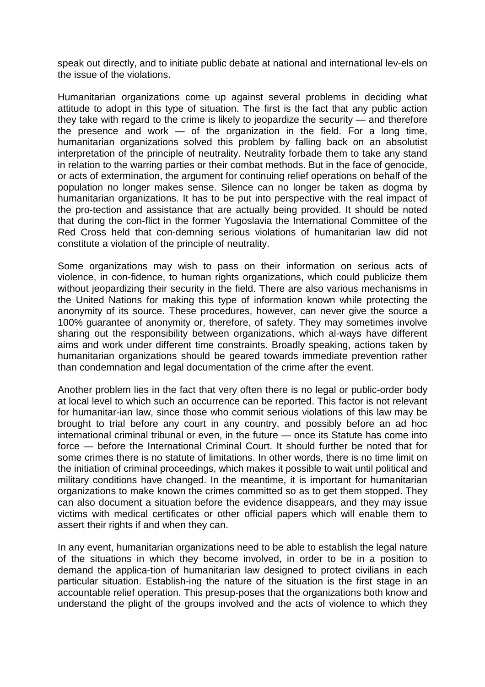speak out directly, and to initiate public debate at national and international lev-els on the issue of the violations.

Humanitarian organizations come up against several problems in deciding what attitude to adopt in this type of situation. The first is the fact that any public action they take with regard to the crime is likely to jeopardize the security — and therefore the presence and work  $-$  of the organization in the field. For a long time, humanitarian organizations solved this problem by falling back on an absolutist interpretation of the principle of neutrality. Neutrality forbade them to take any stand in relation to the warring parties or their combat methods. But in the face of genocide, or acts of extermination, the argument for continuing relief operations on behalf of the population no longer makes sense. Silence can no longer be taken as dogma by humanitarian organizations. It has to be put into perspective with the real impact of the pro-tection and assistance that are actually being provided. It should be noted that during the con-flict in the former Yugoslavia the International Committee of the Red Cross held that con-demning serious violations of humanitarian law did not constitute a violation of the principle of neutrality.

Some organizations may wish to pass on their information on serious acts of violence, in con-fidence, to human rights organizations, which could publicize them without jeopardizing their security in the field. There are also various mechanisms in the United Nations for making this type of information known while protecting the anonymity of its source. These procedures, however, can never give the source a 100% guarantee of anonymity or, therefore, of safety. They may sometimes involve sharing out the responsibility between organizations, which al-ways have different aims and work under different time constraints. Broadly speaking, actions taken by humanitarian organizations should be geared towards immediate prevention rather than condemnation and legal documentation of the crime after the event.

Another problem lies in the fact that very often there is no legal or public-order body at local level to which such an occurrence can be reported. This factor is not relevant for humanitar-ian law, since those who commit serious violations of this law may be brought to trial before any court in any country, and possibly before an ad hoc international criminal tribunal or even, in the future — once its Statute has come into force — before the International Criminal Court. It should further be noted that for some crimes there is no statute of limitations. In other words, there is no time limit on the initiation of criminal proceedings, which makes it possible to wait until political and military conditions have changed. In the meantime, it is important for humanitarian organizations to make known the crimes committed so as to get them stopped. They can also document a situation before the evidence disappears, and they may issue victims with medical certificates or other official papers which will enable them to assert their rights if and when they can.

In any event, humanitarian organizations need to be able to establish the legal nature of the situations in which they become involved, in order to be in a position to demand the applica-tion of humanitarian law designed to protect civilians in each particular situation. Establish-ing the nature of the situation is the first stage in an accountable relief operation. This presup-poses that the organizations both know and understand the plight of the groups involved and the acts of violence to which they